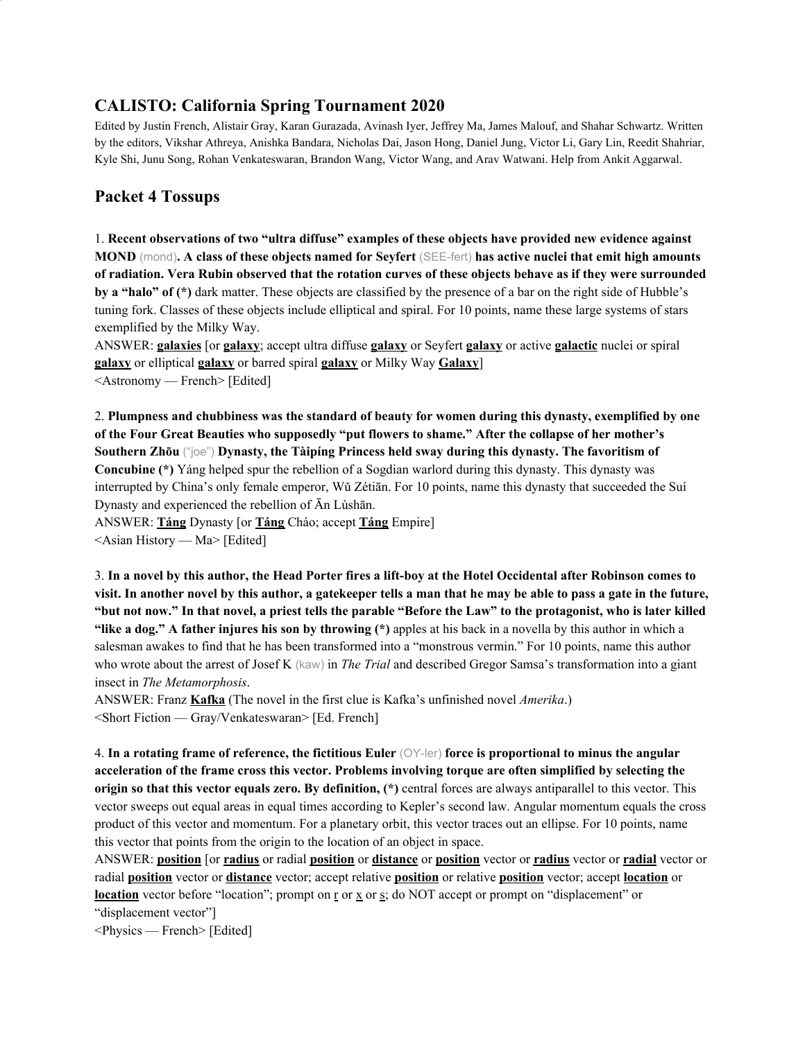# **CALISTO: California Spring Tournament 2020**

Edited by Justin French, Alistair Gray, Karan Gurazada, Avinash Iyer, Jeffrey Ma, James Malouf, and Shahar Schwartz. Written by the editors, Vikshar Athreya, Anishka Bandara, Nicholas Dai, Jason Hong, Daniel Jung, Victor Li, Gary Lin, Reedit Shahriar, Kyle Shi, Junu Song, Rohan Venkateswaran, Brandon Wang, Victor Wang, and Arav Watwani. Help from Ankit Aggarwal.

# **Packet 4 Tossups**

1. **Recent observations of two "ultra diffuse" examples of these objects have provided new evidence against** MOND (mond). A class of these objects named for Seyfert (SEE-fert) has active nuclei that emit high amounts of radiation. Vera Rubin observed that the rotation curves of these objects behave as if they were surrounded **by a "halo" of (\*)** dark matter. These objects are classified by the presence of a bar on the right side of Hubble's tuning fork. Classes of these objects include elliptical and spiral. For 10 points, name these large systems of stars exemplified by the Milky Way.

ANSWER: **galaxies** [or **galaxy**; accept ultra diffuse **galaxy** or Seyfert **galaxy** or active **galactic** nuclei or spiral **galaxy** or elliptical **galaxy** or barred spiral **galaxy** or Milky Way **Galaxy**] <Astronomy — French> [Edited]

2. **Plumpness and chubbiness was the standard of beauty for women during this dynasty, exemplified by one of the Four Great Beauties who supposedly "put flowers to shame." After the collapse of her mother's Southern Zhōu** ("joe") **Dynasty, the Tàipíng Princess held sway during this dynasty. The favoritism of Concubine (\*)** Yáng helped spur the rebellion of a Sogdian warlord during this dynasty. This dynasty was interrupted by China's only female emperor, Wǔ Zétiān. For 10 points, name this dynasty that succeeded the Suí Dynasty and experienced the rebellion of Ān Lùshān.

ANSWER: **Táng** Dynasty [or **Táng** Cháo; accept **Táng** Empire]

<Asian History — Ma> [Edited]

3. In a novel by this author, the Head Porter fires a lift-boy at the Hotel Occidental after Robinson comes to visit. In another novel by this author, a gatekeeper tells a man that he may be able to pass a gate in the future, "but not now." In that novel, a priest tells the parable "Before the Law" to the protagonist, who is later killed **"like a dog." A father injures his son by throwing (\*)** apples at his back in a novella by this author in which a salesman awakes to find that he has been transformed into a "monstrous vermin." For 10 points, name this author who wrote about the arrest of Josef K (kaw) in *The Trial* and described Gregor Samsa's transformation into a giant insect in *The Metamorphosis*.

ANSWER: Franz **Kafka** (The novel in the first clue is Kafka's unfinished novel *Amerika*.) <Short Fiction — Gray/Venkateswaran> [Ed. French]

4. **In a rotating frame of reference, the fictitious Euler** (OY-ler) **force is proportional to minus the angular acceleration of the frame cross this vector. Problems involving torque are often simplified by selecting the origin so that this vector equals zero. By definition, (\*)** central forces are always antiparallel to this vector. This vector sweeps out equal areas in equal times according to Kepler's second law. Angular momentum equals the cross product of this vector and momentum. For a planetary orbit, this vector traces out an ellipse. For 10 points, name this vector that points from the origin to the location of an object in space.

ANSWER: **position** [or **radius** or radial **position** or **distance** or **position** vector or **radius** vector or **radial** vector or radial **position** vector or **distance** vector; accept relative **position** or relative **position** vector; accept **location** or **location** vector before "location"; prompt on <u>r</u> or x or x or s; do NOT accept or prompt on "displacement" or "displacement vector"]

<Physics — French> [Edited]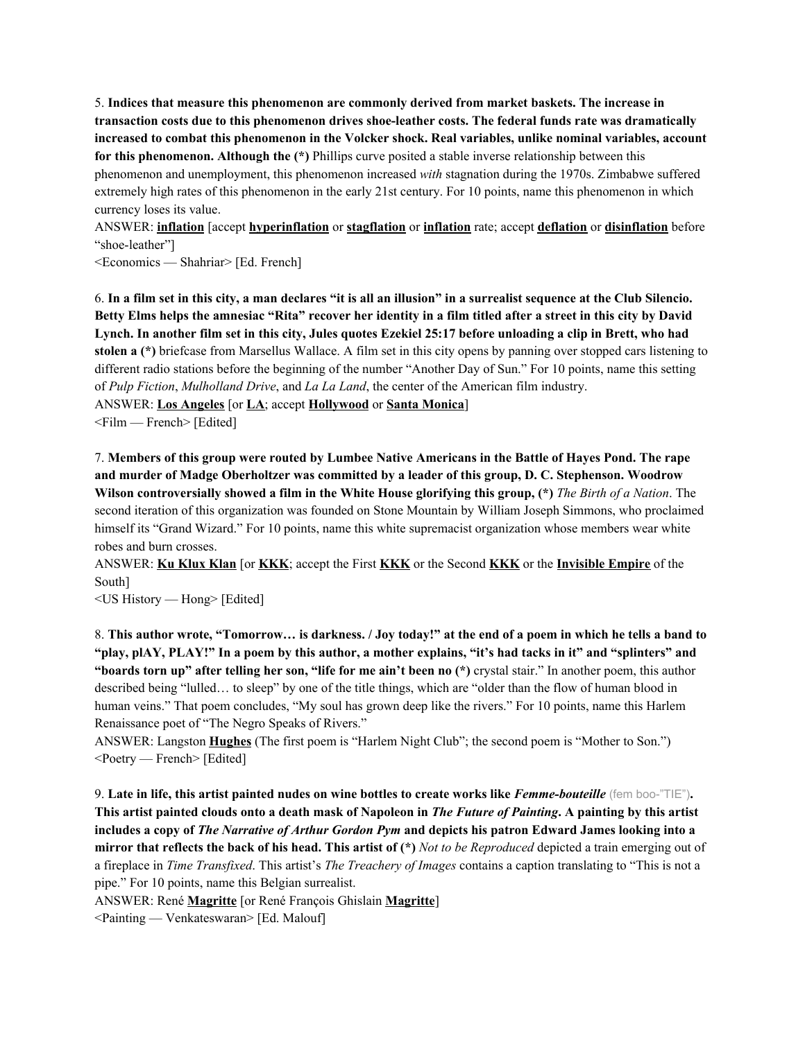5. **Indices that measure this phenomenon are commonly derived from market baskets. The increase in transaction costs due to this phenomenon drives shoe-leather costs. The federal funds rate was dramatically increased to combat this phenomenon in the Volcker shock. Real variables, unlike nominal variables, account for this phenomenon. Although the (\*)** Phillips curve posited a stable inverse relationship between this phenomenon and unemployment, this phenomenon increased *with* stagnation during the 1970s. Zimbabwe suffered extremely high rates of this phenomenon in the early 21st century. For 10 points, name this phenomenon in which currency loses its value.

ANSWER: **inflation** [accept **hyperinflation** or **stagflation** or **inflation** rate; accept **deflation** or **disinflation** before "shoe-leather"]

<Economics — Shahriar> [Ed. French]

6. In a film set in this city, a man declares "it is all an illusion" in a surrealist sequence at the Club Silencio. Betty Elms helps the amnesiac "Rita" recover her identity in a film titled after a street in this city by David Lynch. In another film set in this city, Jules quotes Ezekiel 25:17 before unloading a clip in Brett, who had **stolen a (\*)** briefcase from Marsellus Wallace. A film set in this city opens by panning over stopped cars listening to different radio stations before the beginning of the number "Another Day of Sun." For 10 points, name this setting of *Pulp Fiction*, *Mulholland Drive*, and *La La Land*, the center of the American film industry. ANSWER: **Los Angeles** [or **LA**; accept **Hollywood** or **Santa Monica**] <Film — French> [Edited]

7. Members of this group were routed by Lumbee Native Americans in the Battle of Hayes Pond. The rape **and murder of Madge Oberholtzer was committed by a leader of this group, D. C. Stephenson. Woodrow** Wilson controversially showed a film in the White House glorifying this group,  $(*)$  The Birth of a Nation. The second iteration of this organization was founded on Stone Mountain by William Joseph Simmons, who proclaimed himself its "Grand Wizard." For 10 points, name this white supremacist organization whose members wear white robes and burn crosses.

ANSWER: **Ku Klux Klan** [or **KKK**; accept the First **KKK** or the Second **KKK** or the **Invisible Empire** of the South]

<US History — Hong> [Edited]

8. This author wrote, "Tomorrow... is darkness. / Joy today!" at the end of a poem in which he tells a band to "play, plAY, PLAY!" In a poem by this author, a mother explains, "it's had tacks in it" and "splinters" and **"boards torn up" after telling her son, "life for me ain't been no (\*)** crystal stair." In another poem, this author described being "lulled… to sleep" by one of the title things, which are "older than the flow of human blood in human veins." That poem concludes, "My soul has grown deep like the rivers." For 10 points, name this Harlem Renaissance poet of "The Negro Speaks of Rivers."

ANSWER: Langston **Hughes** (The first poem is "Harlem Night Club"; the second poem is "Mother to Son.") <Poetry — French> [Edited]

9. **Late in life, this artist painted nudes on wine bottles to create works like** *Femme-bouteille* (fem boo-"TIE")**.** This artist painted clouds onto a death mask of Napoleon in The Future of Painting. A painting by this artist includes a copy of The Narrative of Arthur Gordon Pym and depicts his patron Edward James looking into a mirror that reflects the back of his head. This artist of  $(*)$  Not to be Reproduced depicted a train emerging out of a fireplace in *Time Transfixed*. This artist's *The Treachery of Images* contains a caption translating to "This is not a pipe." For 10 points, name this Belgian surrealist.

ANSWER: René **Magritte** [or René François Ghislain **Magritte**]

<Painting — Venkateswaran> [Ed. Malouf]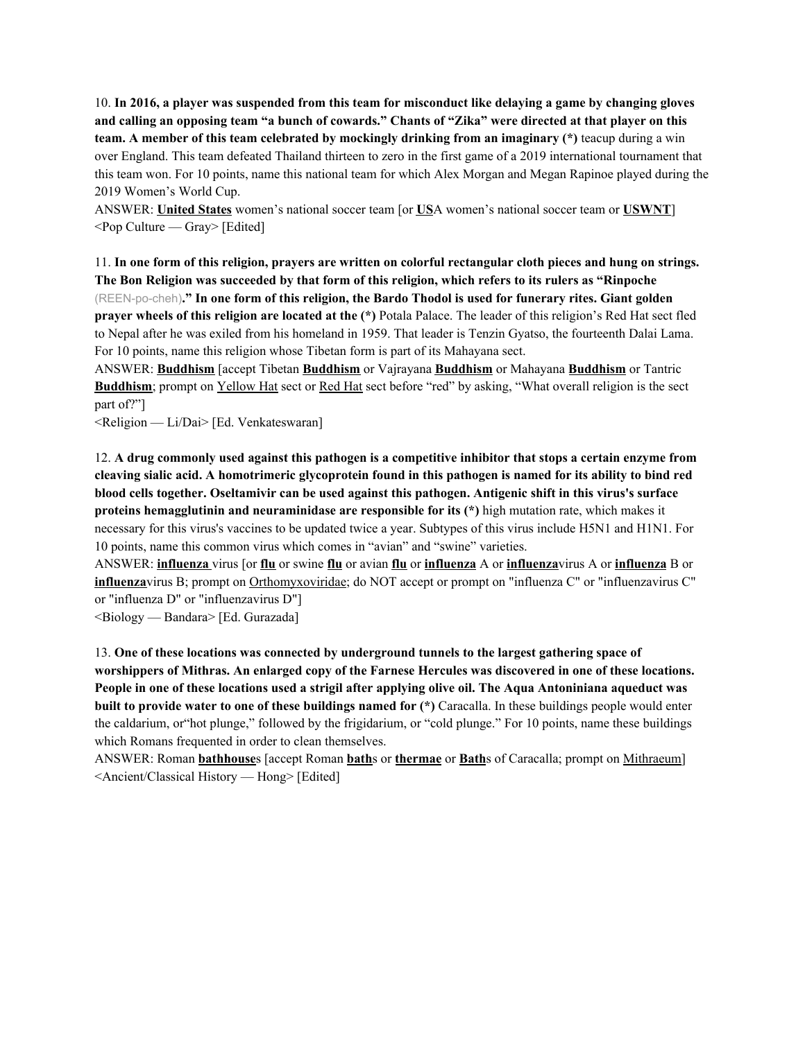10. In 2016, a player was suspended from this team for misconduct like delaying a game by changing gloves and calling an opposing team "a bunch of cowards." Chants of "Zika" were directed at that player on this **team. A member of this team celebrated by mockingly drinking from an imaginary (\*)** teacup during a win over England. This team defeated Thailand thirteen to zero in the first game of a 2019 international tournament that this team won. For 10 points, name this national team for which Alex Morgan and Megan Rapinoe played during the 2019 Women's World Cup.

ANSWER: **United States** women's national soccer team [or **US**A women's national soccer team or **USWNT**]  $\leq$ Pop Culture — Gray> [Edited]

11. In one form of this religion, prayers are written on colorful rectangular cloth pieces and hung on strings. The Bon Religion was succeeded by that form of this religion, which refers to its rulers as "Rinpoche" (REEN-po-cheh)**." In one form of this religion, the Bardo Thodol is used for funerary rites. Giant golden prayer wheels of this religion are located at the (\*)** Potala Palace. The leader of this religion's Red Hat sect fled to Nepal after he was exiled from his homeland in 1959. That leader is Tenzin Gyatso, the fourteenth Dalai Lama. For 10 points, name this religion whose Tibetan form is part of its Mahayana sect.

ANSWER: **Buddhism** [accept Tibetan **Buddhism** or Vajrayana **Buddhism** or Mahayana **Buddhism** or Tantric **Buddhism**; prompt on Yellow Hat sect or Red Hat sect before "red" by asking, "What overall religion is the sect part of?"]

<Religion — Li/Dai> [Ed. Venkateswaran]

12. A drug commonly used against this pathogen is a competitive inhibitor that stops a certain enzyme from cleaving sialic acid. A homotrimeric glycoprotein found in this pathogen is named for its ability to bind red **blood cells together. Oseltamivir can be used against this pathogen. Antigenic shift in this virus's surface proteins hemagglutinin and neuraminidase are responsible for its (\*)** high mutation rate, which makes it necessary for this virus's vaccines to be updated twice a year. Subtypes of this virus include H5N1 and H1N1. For 10 points, name this common virus which comes in "avian" and "swine" varieties.

ANSWER: **influenza** virus [or **flu** or swine **flu** or avian **flu** or **influenza** A or **influenza**virus A or **influenza** B or **influenza**virus B; prompt on Orthomyxoviridae; do NOT accept or prompt on "influenza C" or "influenzavirus C" or "influenza D" or "influenzavirus D"]

<Biology — Bandara> [Ed. Gurazada]

13. **One of these locations was connected by underground tunnels to the largest gathering space of** worshippers of Mithras. An enlarged copy of the Farnese Hercules was discovered in one of these locations. People in one of these locations used a strigil after applying olive oil. The Aqua Antoniniana aqueduct was **built to provide water to one of these buildings named for (\*)** Caracalla. In these buildings people would enter the caldarium, or"hot plunge," followed by the frigidarium, or "cold plunge." For 10 points, name these buildings which Romans frequented in order to clean themselves.

ANSWER: Roman **bathhouse**s [accept Roman **bath**s or **thermae** or **Bath**s of Caracalla; prompt on Mithraeum] <Ancient/Classical History — Hong> [Edited]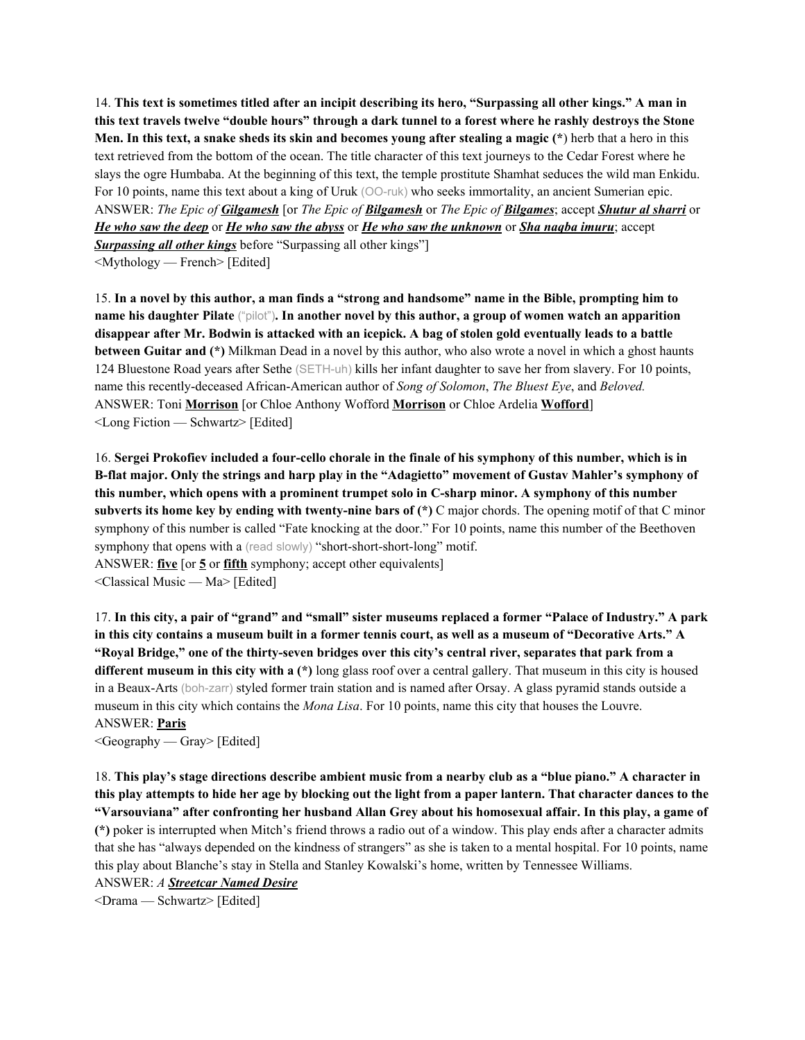14. This text is sometimes titled after an incipit describing its hero, "Surpassing all other kings." A man in this text travels twelve "double hours" through a dark tunnel to a forest where he rashly destroys the Stone Men. In this text, a snake sheds its skin and becomes young after stealing a magic (\*) herb that a hero in this text retrieved from the bottom of the ocean. The title character of this text journeys to the Cedar Forest where he slays the ogre Humbaba. At the beginning of this text, the temple prostitute Shamhat seduces the wild man Enkidu. For 10 points, name this text about a king of Uruk (OO-ruk) who seeks immortality, an ancient Sumerian epic. ANSWER: *The Epic of Gilgamesh* [or *The Epic of Bilgamesh* or *The Epic of Bilgames*; accept *Shutur al sharri* or *He who saw the deep* or *He who saw the abyss* or *He who saw the unknown* or *Sha naqba imuru*; accept *Surpassing all other kings* before "Surpassing all other kings"]

<Mythology — French> [Edited]

15. In a novel by this author, a man finds a "strong and handsome" name in the Bible, prompting him to name his daughter Pilate ("pilot"). In another novel by this author, a group of women watch an apparition disappear after Mr. Bodwin is attacked with an icepick. A bag of stolen gold eventually leads to a battle **between Guitar and (\*)** Milkman Dead in a novel by this author, who also wrote a novel in which a ghost haunts 124 Bluestone Road years after Sethe (SETH-uh) kills her infant daughter to save her from slavery. For 10 points, name this recently-deceased African-American author of *Song of Solomon*, *The Bluest Eye*, and *Beloved.* ANSWER: Toni **Morrison** [or Chloe Anthony Wofford **Morrison** or Chloe Ardelia **Wofford**] <Long Fiction — Schwartz> [Edited]

16. Sergei Prokofiev included a four-cello chorale in the finale of his symphony of this number, which is in **B-flat major. Only the strings and harp play in the "Adagietto" movement of Gustav Mahler's symphony of this number, which opens with a prominent trumpet solo in C-sharp minor. A symphony of this number subverts its home key by ending with twenty-nine bars of (\*)** C major chords. The opening motif of that C minor symphony of this number is called "Fate knocking at the door." For 10 points, name this number of the Beethoven symphony that opens with a (read slowly) "short-short-short-long" motif. ANSWER: **five** [or **5** or **fifth** symphony; accept other equivalents] <Classical Music — Ma> [Edited]

17. In this city, a pair of "grand" and "small" sister museums replaced a former "Palace of Industry." A park in this city contains a museum built in a former tennis court, as well as a museum of "Decorative Arts." A "Royal Bridge," one of the thirty-seven bridges over this city's central river, separates that park from a **different museum in this city with a (\*)** long glass roof over a central gallery. That museum in this city is housed in a Beaux-Arts (boh-zarr) styled former train station and is named after Orsay. A glass pyramid stands outside a museum in this city which contains the *Mona Lisa*. For 10 points, name this city that houses the Louvre. ANSWER: **Paris**

 $\leq$ Geography — Gray> [Edited]

18. This play's stage directions describe ambient music from a nearby club as a "blue piano." A character in this play attempts to hide her age by blocking out the light from a paper lantern. That character dances to the "Varsouviana" after confronting her husband Allan Grey about his homosexual affair. In this play, a game of **(\*)** poker is interrupted when Mitch's friend throws a radio out of a window. This play ends after a character admits that she has "always depended on the kindness of strangers" as she is taken to a mental hospital. For 10 points, name this play about Blanche's stay in Stella and Stanley Kowalski's home, written by Tennessee Williams.

ANSWER: *A Streetcar Named Desire* <Drama — Schwartz> [Edited]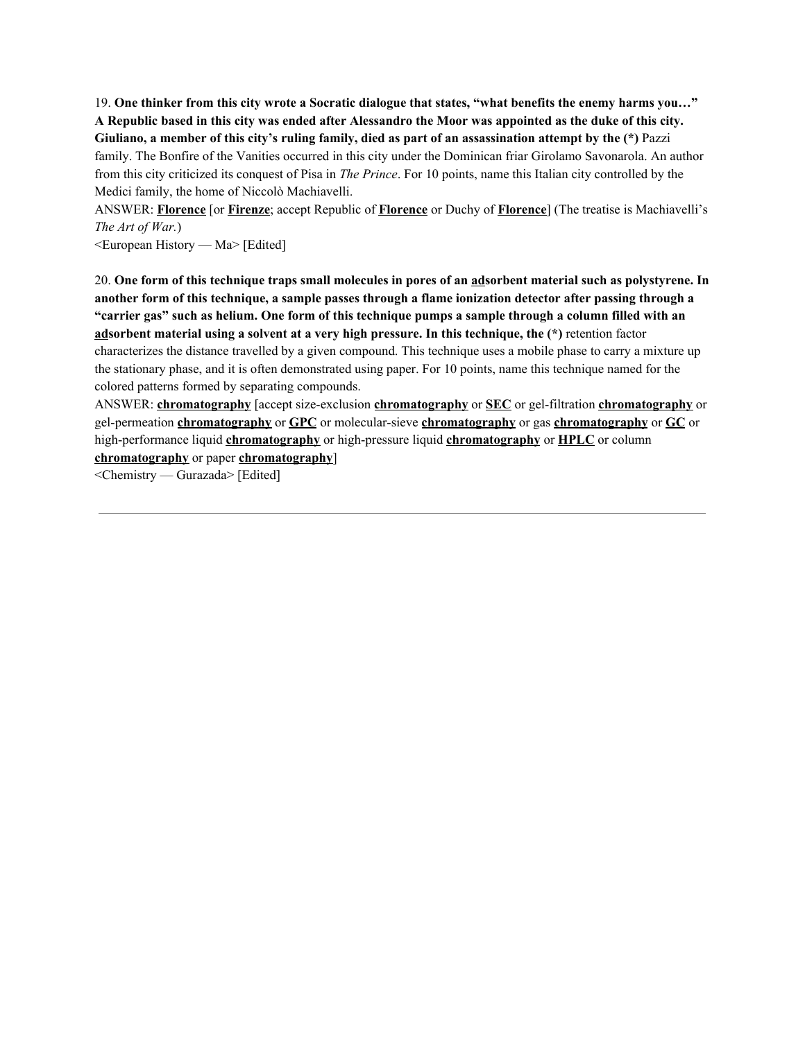19. One thinker from this city wrote a Socratic dialogue that states, "what benefits the enemy harms you..." A Republic based in this city was ended after Alessandro the Moor was appointed as the duke of this city. Giuliano, a member of this city's ruling family, died as part of an assassination attempt by the  $(*)$  Pazzi family. The Bonfire of the Vanities occurred in this city under the Dominican friar Girolamo Savonarola. An author from this city criticized its conquest of Pisa in *The Prince*. For 10 points, name this Italian city controlled by the Medici family, the home of Niccolò Machiavelli.

ANSWER: **Florence** [or **Firenze**; accept Republic of **Florence** or Duchy of **Florence**] (The treatise is Machiavelli's *The Art of War.*)

<European History — Ma> [Edited]

20. One form of this technique traps small molecules in pores of an adsorbent material such as polystyrene. In another form of this technique, a sample passes through a flame ionization detector after passing through a "carrier gas" such as helium. One form of this technique pumps a sample through a column filled with an **adsorbent material using a solvent at a very high pressure. In this technique, the (\*)** retention factor characterizes the distance travelled by a given compound. This technique uses a mobile phase to carry a mixture up the stationary phase, and it is often demonstrated using paper. For 10 points, name this technique named for the colored patterns formed by separating compounds.

ANSWER: **chromatography** [accept size-exclusion **chromatography** or **SEC** or gel-filtration **chromatography** or gel-permeation **chromatography** or **GPC** or molecular-sieve **chromatography** or gas **chromatography** or **GC** or high-performance liquid **chromatography** or high-pressure liquid **chromatography** or **HPLC** or column **chromatography** or paper **chromatography**]

<Chemistry — Gurazada> [Edited]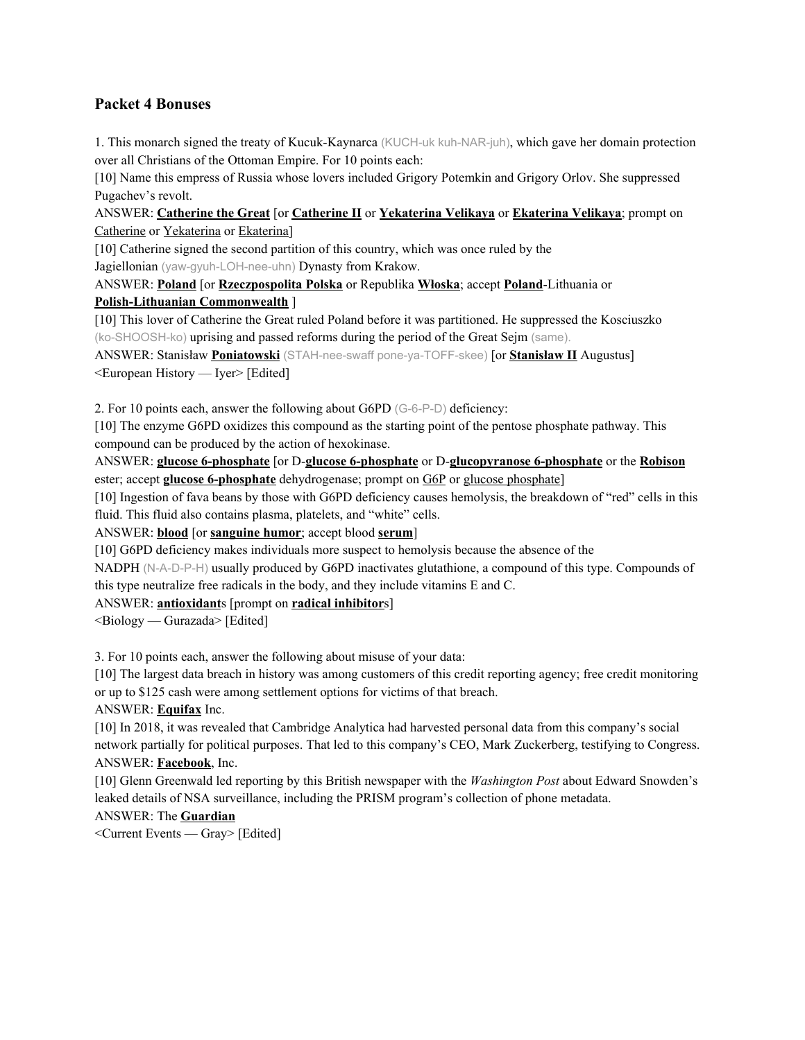## **Packet 4 Bonuses**

1. This monarch signed the treaty of Kucuk-Kaynarca (KUCH-uk kuh-NAR-juh), which gave her domain protection over all Christians of the Ottoman Empire. For 10 points each:

[10] Name this empress of Russia whose lovers included Grigory Potemkin and Grigory Orlov. She suppressed Pugachev's revolt.

ANSWER: **Catherine the Great** [or **Catherine II** or **Yekaterina Velikaya** or **Ekaterina Velikaya**; prompt on Catherine or Yekaterina or Ekaterina]

[10] Catherine signed the second partition of this country, which was once ruled by the Jagiellonian (yaw-gyuh-LOH-nee-uhn) Dynasty from Krakow.

ANSWER: **Poland** [or **Rzeczpospolita Polska** or Republika **Włoska**; accept **Poland**-Lithuania or **Polish-Lithuanian Commonwealth** ]

[10] This lover of Catherine the Great ruled Poland before it was partitioned. He suppressed the Kosciuszko (ko-SHOOSH-ko) uprising and passed reforms during the period of the Great Sejm (same).

ANSWER: Stanisław **Poniatowski** (STAH-nee-swaff pone-ya-TOFF-skee) [or **Stanisław II** Augustus] <European History — Iyer> [Edited]

2. For 10 points each, answer the following about G6PD (G-6-P-D) deficiency:

[10] The enzyme G6PD oxidizes this compound as the starting point of the pentose phosphate pathway. This compound can be produced by the action of hexokinase.

ANSWER: **glucose 6-phosphate** [or D-**glucose 6-phosphate** or D-**glucopyranose 6-phosphate** or the **Robison** ester; accept **glucose 6-phosphate** dehydrogenase; prompt on G6P or glucose phosphate]

[10] Ingestion of fava beans by those with G6PD deficiency causes hemolysis, the breakdown of "red" cells in this fluid. This fluid also contains plasma, platelets, and "white" cells.

ANSWER: **blood** [or **sanguine humor**; accept blood **serum**]

[10] G6PD deficiency makes individuals more suspect to hemolysis because the absence of the

NADPH (N-A-D-P-H) usually produced by G6PD inactivates glutathione, a compound of this type. Compounds of this type neutralize free radicals in the body, and they include vitamins E and C.

ANSWER: **antioxidant**s [prompt on **radical inhibitor**s]

 $\leq$ Biology — Gurazada> [Edited]

3. For 10 points each, answer the following about misuse of your data:

[10] The largest data breach in history was among customers of this credit reporting agency; free credit monitoring or up to \$125 cash were among settlement options for victims of that breach.

ANSWER: **Equifax** Inc.

[10] In 2018, it was revealed that Cambridge Analytica had harvested personal data from this company's social network partially for political purposes. That led to this company's CEO, Mark Zuckerberg, testifying to Congress. ANSWER: **Facebook**, Inc.

[10] Glenn Greenwald led reporting by this British newspaper with the *Washington Post* about Edward Snowden's leaked details of NSA surveillance, including the PRISM program's collection of phone metadata.

## ANSWER: The **Guardian**

<Current Events — Gray> [Edited]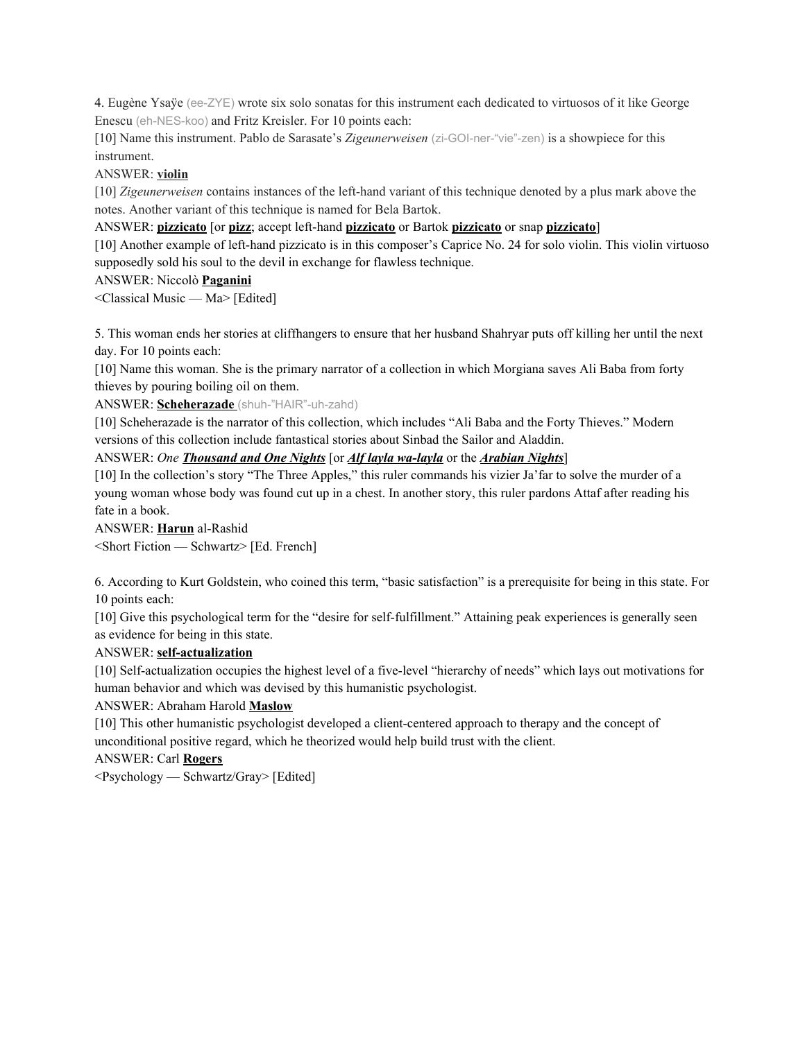4. Eugène Ysaÿe (ee-ZYE) wrote six solo sonatas for this instrument each dedicated to virtuosos of it like George Enescu (eh-NES-koo) and Fritz Kreisler. For 10 points each:

[10] Name this instrument. Pablo de Sarasate's *Zigeunerweisen* (zi-GOI-ner-"vie"-zen) is a showpiece for this instrument.

#### ANSWER: **violin**

[10] *Zigeunerweisen* contains instances of the left-hand variant of this technique denoted by a plus mark above the notes. Another variant of this technique is named for Bela Bartok.

ANSWER: **pizzicato** [or **pizz**; accept left-hand **pizzicato** or Bartok **pizzicato** or snap **pizzicato**]

[10] Another example of left-hand pizzicato is in this composer's Caprice No. 24 for solo violin. This violin virtuoso supposedly sold his soul to the devil in exchange for flawless technique.

#### ANSWER: Niccolò **Paganini**

<Classical Music — Ma> [Edited]

5. This woman ends her stories at cliffhangers to ensure that her husband Shahryar puts off killing her until the next day. For 10 points each:

[10] Name this woman. She is the primary narrator of a collection in which Morgiana saves Ali Baba from forty thieves by pouring boiling oil on them.

ANSWER: **Scheherazade** (shuh-"HAIR"-uh-zahd)

[10] Scheherazade is the narrator of this collection, which includes "Ali Baba and the Forty Thieves." Modern versions of this collection include fantastical stories about Sinbad the Sailor and Aladdin.

ANSWER: *One Thousand and One Nights* [or *Alf layla wa-layla* or the *Arabian Nights*]

[10] In the collection's story "The Three Apples," this ruler commands his vizier Ja'far to solve the murder of a young woman whose body was found cut up in a chest. In another story, this ruler pardons Attaf after reading his fate in a book.

ANSWER: **Harun** al-Rashid

<Short Fiction — Schwartz> [Ed. French]

6. According to Kurt Goldstein, who coined this term, "basic satisfaction" is a prerequisite for being in this state. For 10 points each:

[10] Give this psychological term for the "desire for self-fulfillment." Attaining peak experiences is generally seen as evidence for being in this state.

#### ANSWER: **self-actualization**

[10] Self-actualization occupies the highest level of a five-level "hierarchy of needs" which lays out motivations for human behavior and which was devised by this humanistic psychologist.

#### ANSWER: Abraham Harold **Maslow**

[10] This other humanistic psychologist developed a client-centered approach to therapy and the concept of unconditional positive regard, which he theorized would help build trust with the client.

ANSWER: Carl **Rogers**

<Psychology — Schwartz/Gray> [Edited]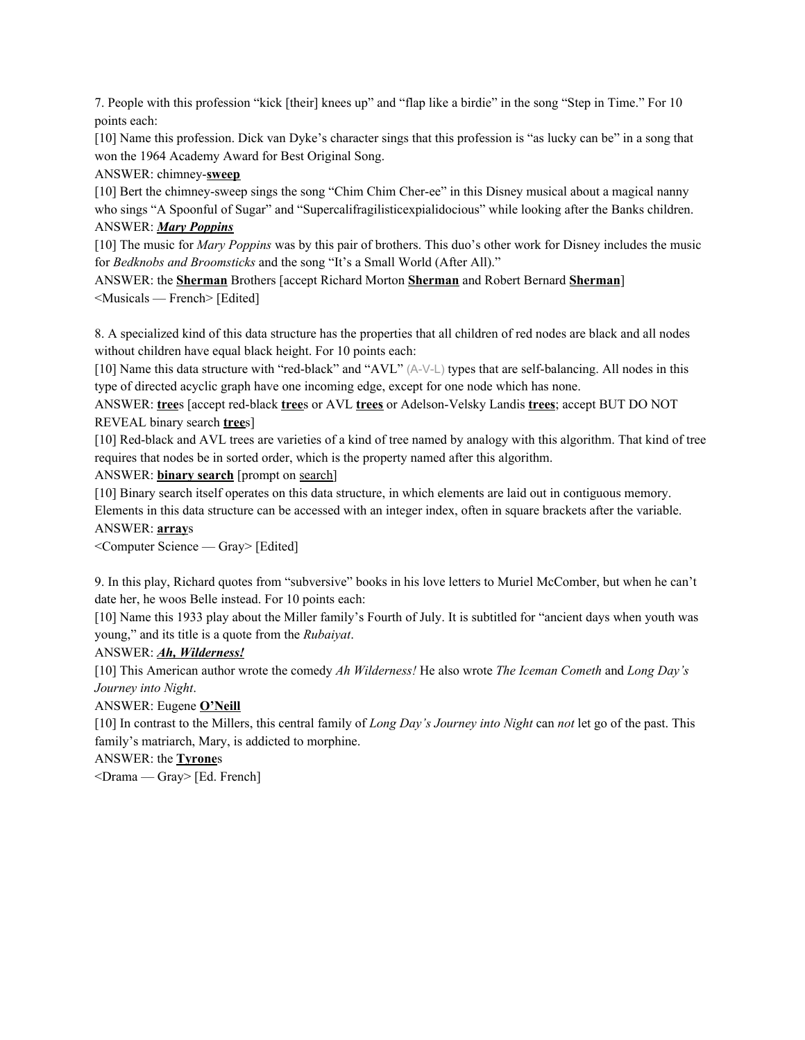7. People with this profession "kick [their] knees up" and "flap like a birdie" in the song "Step in Time." For 10 points each:

[10] Name this profession. Dick van Dyke's character sings that this profession is "as lucky can be" in a song that won the 1964 Academy Award for Best Original Song.

ANSWER: chimney-**sweep**

[10] Bert the chimney-sweep sings the song "Chim Chim Cher-ee" in this Disney musical about a magical nanny who sings "A Spoonful of Sugar" and "Supercalifragilisticexpialidocious" while looking after the Banks children. ANSWER: *Mary Poppins*

[10] The music for *Mary Poppins* was by this pair of brothers. This duo's other work for Disney includes the music for *Bedknobs and Broomsticks* and the song "It's a Small World (After All)."

ANSWER: the **Sherman** Brothers [accept Richard Morton **Sherman** and Robert Bernard **Sherman**] <Musicals — French> [Edited]

8. A specialized kind of this data structure has the properties that all children of red nodes are black and all nodes without children have equal black height. For 10 points each:

[10] Name this data structure with "red-black" and "AVL" (A-V-L) types that are self-balancing. All nodes in this type of directed acyclic graph have one incoming edge, except for one node which has none.

ANSWER: **tree**s [accept red-black **tree**s or AVL **trees** or Adelson-Velsky Landis **trees**; accept BUT DO NOT REVEAL binary search **tree**s]

[10] Red-black and AVL trees are varieties of a kind of tree named by analogy with this algorithm. That kind of tree requires that nodes be in sorted order, which is the property named after this algorithm.

ANSWER: **binary search** [prompt on search]

[10] Binary search itself operates on this data structure, in which elements are laid out in contiguous memory.

Elements in this data structure can be accessed with an integer index, often in square brackets after the variable. ANSWER: **array**s

<Computer Science — Gray> [Edited]

9. In this play, Richard quotes from "subversive" books in his love letters to Muriel McComber, but when he can't date her, he woos Belle instead. For 10 points each:

[10] Name this 1933 play about the Miller family's Fourth of July. It is subtitled for "ancient days when youth was young," and its title is a quote from the *Rubaiyat*.

ANSWER: *Ah, Wilderness!*

[10] This American author wrote the comedy *Ah Wilderness!* He also wrote *The Iceman Cometh* and *Long Day's Journey into Night*.

ANSWER: Eugene **O'Neill**

[10] In contrast to the Millers, this central family of *Long Day's Journey into Night* can *not* let go of the past. This family's matriarch, Mary, is addicted to morphine.

ANSWER: the **Tyrone**s

<Drama — Gray> [Ed. French]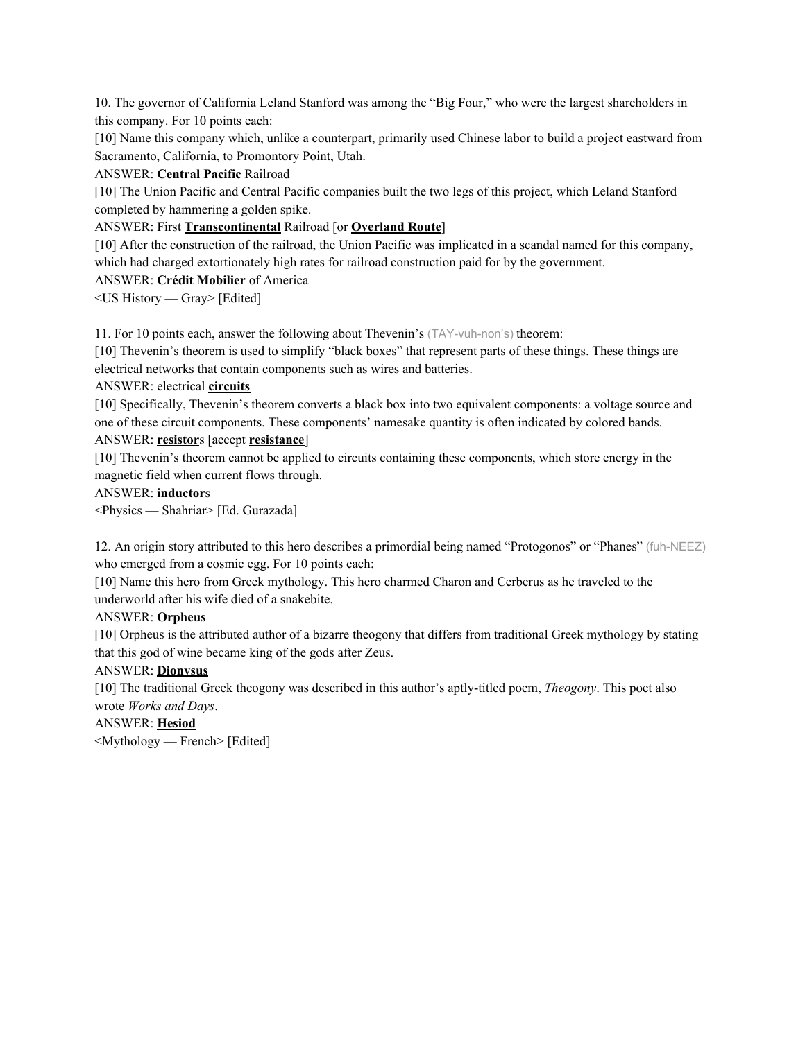10. The governor of California Leland Stanford was among the "Big Four," who were the largest shareholders in this company. For 10 points each:

[10] Name this company which, unlike a counterpart, primarily used Chinese labor to build a project eastward from Sacramento, California, to Promontory Point, Utah.

ANSWER: **Central Pacific** Railroad

[10] The Union Pacific and Central Pacific companies built the two legs of this project, which Leland Stanford completed by hammering a golden spike.

ANSWER: First **Transcontinental** Railroad [or **Overland Route**]

[10] After the construction of the railroad, the Union Pacific was implicated in a scandal named for this company, which had charged extortionately high rates for railroad construction paid for by the government.

ANSWER: **Crédit Mobilier** of America

<US History — Gray> [Edited]

11. For 10 points each, answer the following about Thevenin's (TAY-vuh-non's) theorem:

[10] Thevenin's theorem is used to simplify "black boxes" that represent parts of these things. These things are electrical networks that contain components such as wires and batteries.

#### ANSWER: electrical **circuits**

[10] Specifically, Thevenin's theorem converts a black box into two equivalent components: a voltage source and one of these circuit components. These components' namesake quantity is often indicated by colored bands. ANSWER: **resistor**s [accept **resistance**]

[10] Thevenin's theorem cannot be applied to circuits containing these components, which store energy in the magnetic field when current flows through.

## ANSWER: **inductor**s

<Physics — Shahriar> [Ed. Gurazada]

12. An origin story attributed to this hero describes a primordial being named "Protogonos" or "Phanes" (fuh-NEEZ) who emerged from a cosmic egg. For 10 points each:

[10] Name this hero from Greek mythology. This hero charmed Charon and Cerberus as he traveled to the underworld after his wife died of a snakebite.

### ANSWER: **Orpheus**

[10] Orpheus is the attributed author of a bizarre theogony that differs from traditional Greek mythology by stating that this god of wine became king of the gods after Zeus.

### ANSWER: **Dionysus**

[10] The traditional Greek theogony was described in this author's aptly-titled poem, *Theogony*. This poet also wrote *Works and Days*.

ANSWER: **Hesiod** <Mythology — French> [Edited]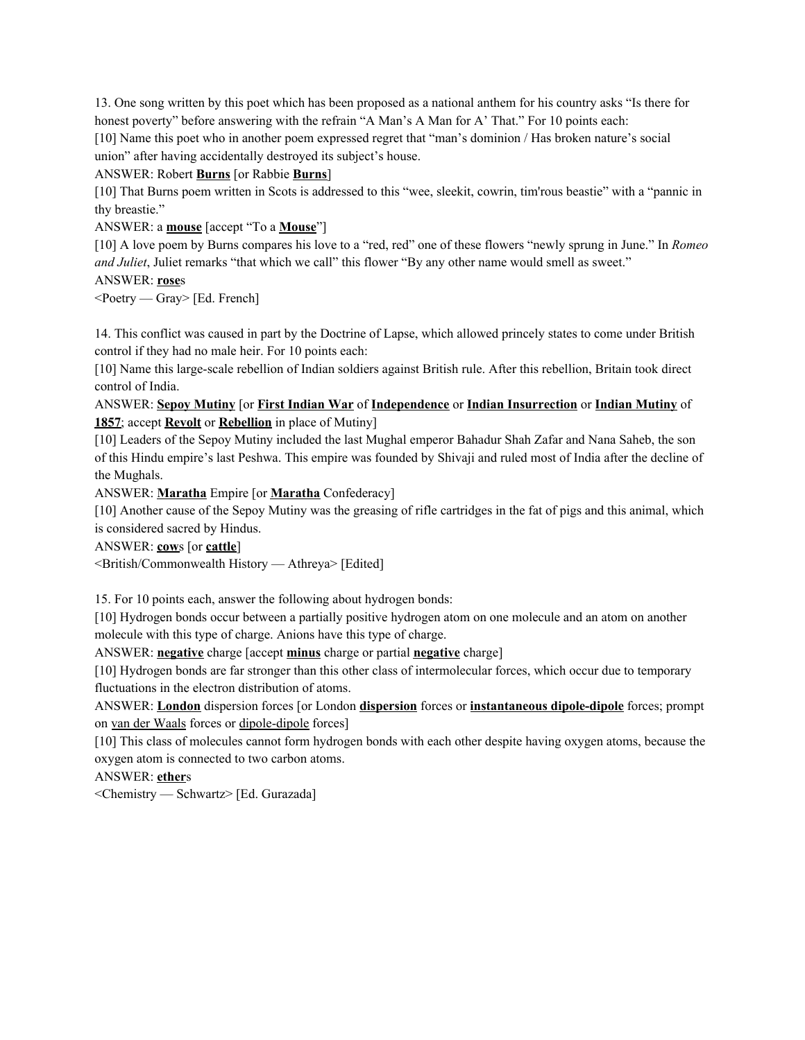13. One song written by this poet which has been proposed as a national anthem for his country asks "Is there for honest poverty" before answering with the refrain "A Man's A Man for A' That." For 10 points each:

[10] Name this poet who in another poem expressed regret that "man's dominion / Has broken nature's social union" after having accidentally destroyed its subject's house.

#### ANSWER: Robert **Burns** [or Rabbie **Burns**]

[10] That Burns poem written in Scots is addressed to this "wee, sleekit, cowrin, tim'rous beastie" with a "pannic in thy breastie."

### ANSWER: a **mouse** [accept "To a **Mouse**"]

[10] A love poem by Burns compares his love to a "red, red" one of these flowers "newly sprung in June." In *Romeo and Juliet*, Juliet remarks "that which we call" this flower "By any other name would smell as sweet."

## ANSWER: **rose**s

<Poetry — Gray> [Ed. French]

14. This conflict was caused in part by the Doctrine of Lapse, which allowed princely states to come under British control if they had no male heir. For 10 points each:

[10] Name this large-scale rebellion of Indian soldiers against British rule. After this rebellion, Britain took direct control of India.

## ANSWER: **Sepoy Mutiny** [or **First Indian War** of **Independence** or **Indian Insurrection** or **Indian Mutiny** of **1857**; accept **Revolt** or **Rebellion** in place of Mutiny]

[10] Leaders of the Sepoy Mutiny included the last Mughal emperor Bahadur Shah Zafar and Nana Saheb, the son of this Hindu empire's last Peshwa. This empire was founded by Shivaji and ruled most of India after the decline of the Mughals.

ANSWER: **Maratha** Empire [or **Maratha** Confederacy]

[10] Another cause of the Sepoy Mutiny was the greasing of rifle cartridges in the fat of pigs and this animal, which is considered sacred by Hindus.

ANSWER: **cow**s [or **cattle**]

<British/Commonwealth History — Athreya> [Edited]

15. For 10 points each, answer the following about hydrogen bonds:

[10] Hydrogen bonds occur between a partially positive hydrogen atom on one molecule and an atom on another molecule with this type of charge. Anions have this type of charge.

ANSWER: **negative** charge [accept **minus** charge or partial **negative** charge]

[10] Hydrogen bonds are far stronger than this other class of intermolecular forces, which occur due to temporary fluctuations in the electron distribution of atoms.

ANSWER: **London** dispersion forces [or London **dispersion** forces or **instantaneous dipole-dipole** forces; prompt on van der Waals forces or dipole-dipole forces]

[10] This class of molecules cannot form hydrogen bonds with each other despite having oxygen atoms, because the oxygen atom is connected to two carbon atoms.

ANSWER: **ether**s

<Chemistry — Schwartz> [Ed. Gurazada]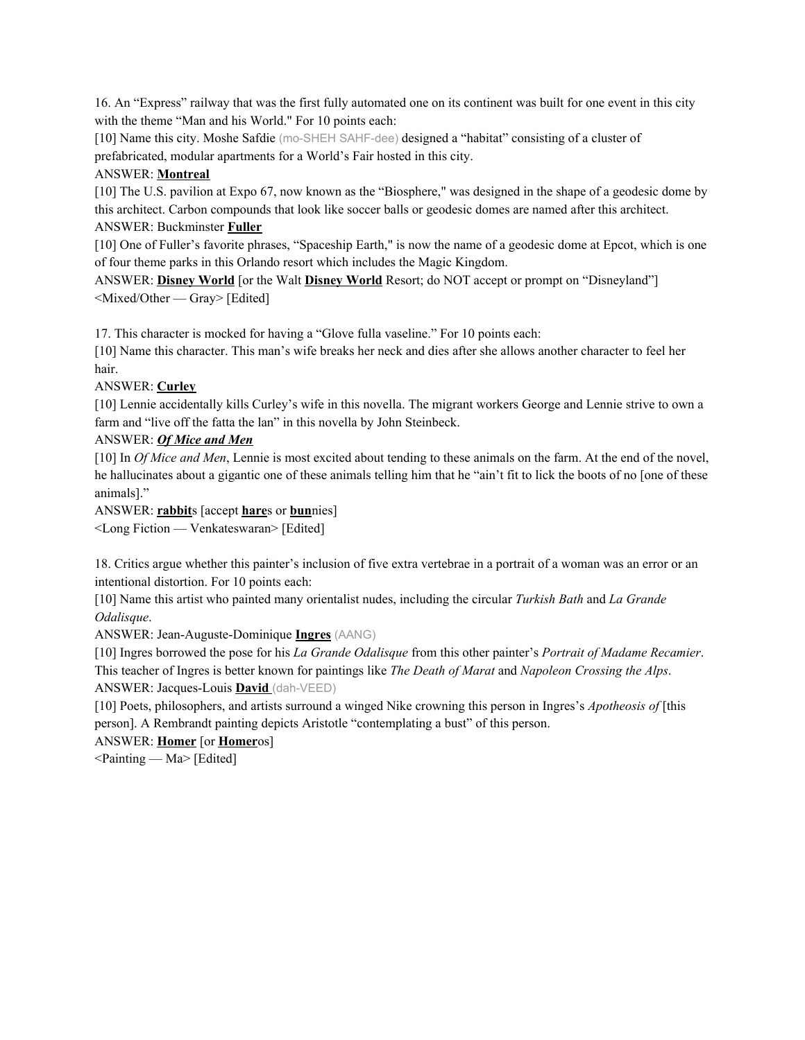16. An "Express" railway that was the first fully automated one on its continent was built for one event in this city with the theme "Man and his World." For 10 points each:

[10] Name this city. Moshe Safdie (mo-SHEH SAHF-dee) designed a "habitat" consisting of a cluster of prefabricated, modular apartments for a World's Fair hosted in this city.

#### ANSWER: **Montreal**

[10] The U.S. pavilion at Expo 67, now known as the "Biosphere," was designed in the shape of a geodesic dome by this architect. Carbon compounds that look like soccer balls or geodesic domes are named after this architect. ANSWER: Buckminster **Fuller**

[10] One of Fuller's favorite phrases, "Spaceship Earth," is now the name of a geodesic dome at Epcot, which is one of four theme parks in this Orlando resort which includes the Magic Kingdom.

ANSWER: **Disney World** [or the Walt **Disney World** Resort; do NOT accept or prompt on "Disneyland"] <Mixed/Other — Gray> [Edited]

17. This character is mocked for having a "Glove fulla vaseline." For 10 points each:

[10] Name this character. This man's wife breaks her neck and dies after she allows another character to feel her hair.

#### ANSWER: **Curley**

[10] Lennie accidentally kills Curley's wife in this novella. The migrant workers George and Lennie strive to own a farm and "live off the fatta the lan" in this novella by John Steinbeck.

#### ANSWER: *Of Mice and Men*

[10] In *Of Mice and Men*, Lennie is most excited about tending to these animals on the farm. At the end of the novel, he hallucinates about a gigantic one of these animals telling him that he "ain't fit to lick the boots of no [one of these animals]."

ANSWER: **rabbit**s [accept **hare**s or **bun**nies]

<Long Fiction — Venkateswaran> [Edited]

18. Critics argue whether this painter's inclusion of five extra vertebrae in a portrait of a woman was an error or an intentional distortion. For 10 points each:

[10] Name this artist who painted many orientalist nudes, including the circular *Turkish Bath* and *La Grande Odalisque*.

ANSWER: Jean-Auguste-Dominique **Ingres** (AANG)

[10] Ingres borrowed the pose for his *La Grande Odalisque* from this other painter's *Portrait of Madame Recamier*. This teacher of Ingres is better known for paintings like *The Death of Marat* and *Napoleon Crossing the Alps*. ANSWER: Jacques-Louis **David** (dah-VEED)

[10] Poets, philosophers, and artists surround a winged Nike crowning this person in Ingres's *Apotheosis of* [this person]. A Rembrandt painting depicts Aristotle "contemplating a bust" of this person.

ANSWER: **Homer** [or **Homer**os]

<Painting — Ma> [Edited]